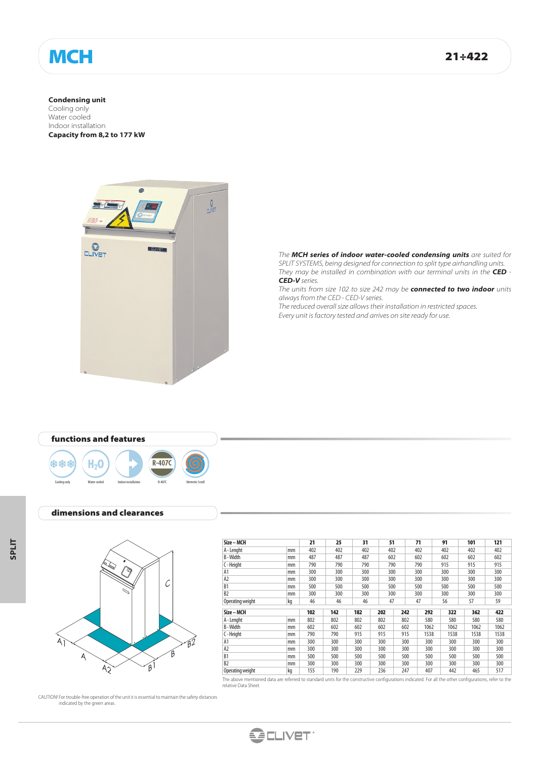# MCH 21÷422

**Condensing unit** Cooling only Water cooled Indoor installation **Capacity from 8,2 to 177 kW**



*The MCH series of indoor water-cooled condensing units are suited for SPLIT SYSTEMS, being designed for connection to split type airhandling units. They may be installed in combination with our terminal units in the CED - CED-V series.*

*The units from size 102 to size 242 may be connected to two indoor units always from the CED - CED-V series.*

*The reduced overall size allows their installation in restricted spaces. Every unit is factory tested and arrives on site ready for use.*



#### dimensions and clearances



| Size – MCH       |    | 21  | 25  | 31       | 51  |            | 71   | 91   | 101  | 121  |
|------------------|----|-----|-----|----------|-----|------------|------|------|------|------|
| A - Lenght       | mm | 402 | 402 | 402      | 402 |            | 402  | 402  | 402  | 402  |
| B-Width          | mm | 487 | 487 | 487      | 602 |            | 602  | 602  | 602  | 602  |
| C-Height         | mm | 790 | 790 | 790      | 790 |            | 790  | 915  | 915  | 915  |
| A1               | mm | 300 | 300 | 300      | 300 |            | 300  | 300  | 300  | 300  |
| A <sub>2</sub>   | mm | 300 | 300 | 300      |     | 300<br>300 |      | 300  | 300  | 300  |
| B <sub>1</sub>   | mm | 500 | 500 | 500      | 500 |            | 500  | 500  | 500  | 500  |
| B <sub>2</sub>   | mm | 300 | 300 | 300      | 300 |            | 300  | 300  | 300  | 300  |
| Operating weight | kg | 46  | 46  | 46<br>47 |     |            | 47   | 56   | 57   | 59   |
| Size – MCH       |    | 102 | 142 | 182      | 202 | 242        | 292  | 322  | 362  | 422  |
| A - Lenght       | mm | 802 | 802 | 802      | 802 | 802        | 580  | 580  | 580  | 580  |
| B-Width          | mm | 602 | 602 | 602      | 602 | 602        | 1062 | 1062 | 1062 | 1062 |
| C - Height       | mm | 790 | 790 | 915      | 915 | 915        | 1538 | 1538 | 1538 | 1538 |
| A <sub>1</sub>   | mm | 300 | 300 | 300      | 300 | 300        | 300  | 300  | 300  | 300  |
| A <sub>2</sub>   | mm | 300 | 300 | 300      | 300 | 300        | 300  | 300  | 300  | 300  |
| B <sub>1</sub>   | mm | 500 | 500 | 500      | 500 | 500        | 500  | 500  | 500  | 500  |
| B <sub>2</sub>   | mm | 300 | 300 | 300      | 300 | 300        | 300  | 300  | 300  | 300  |
| Operating weight | kg | 155 | 190 | 229      | 236 | 247        | 407  | 442  | 465  | 517  |

The above mentioned data are referred to standard units for the constructive configurations indicated. For all the other configurations, refer to the relative Data Sheet.

CAUTION! For trouble-free operation of the unit it is essential to maintain the safety distances indicated by the green areas.